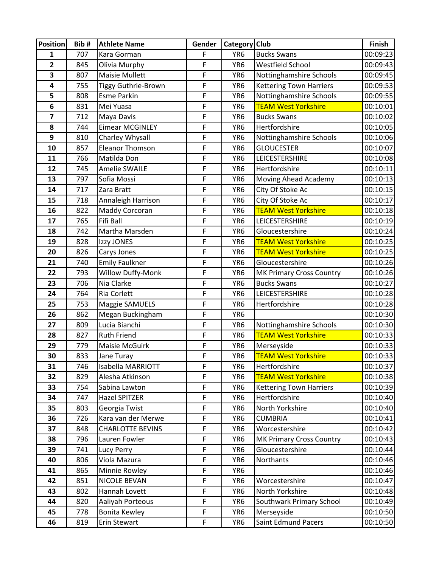| <b>Position</b> | Bib#       | <b>Athlete Name</b>            | Gender      | Category Club                      |                                                 | Finish               |
|-----------------|------------|--------------------------------|-------------|------------------------------------|-------------------------------------------------|----------------------|
| 1               | 707        | Kara Gorman                    | F           | YR <sub>6</sub>                    | <b>Bucks Swans</b>                              | 00:09:23             |
| 2               | 845        | Olivia Murphy                  | F           | YR <sub>6</sub>                    | Westfield School                                | 00:09:43             |
| 3               | 807        | Maisie Mullett                 | F           | YR <sub>6</sub>                    | Nottinghamshire Schools                         | 00:09:45             |
| 4               | 755        | <b>Tiggy Guthrie-Brown</b>     | F           | YR <sub>6</sub>                    | <b>Kettering Town Harriers</b>                  | 00:09:53             |
| 5               | 808        | <b>Esme Parkin</b>             | F           | YR <sub>6</sub>                    | Nottinghamshire Schools                         | 00:09:55             |
| 6               | 831        | Mei Yuasa                      | F           | YR <sub>6</sub>                    | <b>TEAM West Yorkshire</b>                      | 00:10:01             |
| 7               | 712        | Maya Davis                     | F           | YR <sub>6</sub>                    | <b>Bucks Swans</b>                              | 00:10:02             |
| 8               | 744        | <b>Eimear MCGINLEY</b>         | F           | YR <sub>6</sub>                    | Hertfordshire                                   | 00:10:05             |
| 9               | 810        | Charley Whysall                | F           | YR <sub>6</sub>                    | Nottinghamshire Schools                         | 00:10:06             |
| 10              | 857        | <b>Eleanor Thomson</b>         | F           | YR <sub>6</sub>                    | <b>GLOUCESTER</b>                               | 00:10:07             |
| 11              | 766        | Matilda Don                    | F           | YR <sub>6</sub>                    | LEICESTERSHIRE                                  | 00:10:08             |
| 12              | 745        | <b>Amelie SWAILE</b>           | F           | YR <sub>6</sub>                    | Hertfordshire                                   | 00:10:11             |
| 13              | 797        | Sofia Mossi                    | F           | YR <sub>6</sub>                    | Moving Ahead Academy                            | 00:10:13             |
| 14              | 717        | Zara Bratt                     | F           | YR <sub>6</sub>                    | City Of Stoke Ac                                | 00:10:15             |
| 15              | 718        | Annaleigh Harrison             | F           | YR <sub>6</sub>                    | City Of Stoke Ac                                | 00:10:17             |
| 16              | 822        | Maddy Corcoran                 | F           | YR <sub>6</sub>                    | <b>TEAM West Yorkshire</b>                      | 00:10:18             |
| 17              | 765        | Fifi Ball                      | F           | YR <sub>6</sub>                    | <b>LEICESTERSHIRE</b>                           | 00:10:19             |
| 18              | 742        | Martha Marsden                 | F           | YR <sub>6</sub>                    | Gloucestershire                                 | 00:10:24             |
| 19              | 828        | Izzy JONES                     | F           | YR <sub>6</sub>                    | <b>TEAM West Yorkshire</b>                      | 00:10:25             |
| 20              | 826        | Carys Jones                    | F           | YR <sub>6</sub>                    | <b>TEAM West Yorkshire</b>                      | 00:10:25             |
| 21              | 740        | <b>Emily Faulkner</b>          | F           | YR <sub>6</sub>                    | Gloucestershire                                 | 00:10:26             |
| 22              | 793        | Willow Duffy-Monk              | F           | YR <sub>6</sub>                    | <b>MK Primary Cross Country</b>                 | 00:10:26             |
| 23              | 706        | Nia Clarke                     | F           | YR <sub>6</sub>                    | <b>Bucks Swans</b>                              | 00:10:27             |
| 24              | 764        | Ria Corlett                    | F           | YR <sub>6</sub>                    | LEICESTERSHIRE                                  | 00:10:28             |
| 25              | 753        | Maggie SAMUELS                 | F           | YR <sub>6</sub>                    | Hertfordshire                                   | 00:10:28             |
| 26              | 862        | Megan Buckingham               | F           | YR <sub>6</sub>                    |                                                 | 00:10:30             |
| 27              | 809        | Lucia Bianchi                  | F           | YR <sub>6</sub>                    | Nottinghamshire Schools                         | 00:10:30             |
| 28              | 827        | <b>Ruth Friend</b>             | F           | YR <sub>6</sub>                    | <b>TEAM West Yorkshire</b>                      | 00:10:33             |
| 29              | 779        | Maisie McGuirk                 | $\mathsf F$ | YR <sub>6</sub>                    | Merseyside                                      | 00:10:33             |
| 30              | 833        | Jane Turay                     | F           | YR <sub>6</sub>                    | <b>TEAM West Yorkshire</b>                      | 00:10:33             |
| 31              | 746        | Isabella MARRIOTT              | F           | YR <sub>6</sub>                    | Hertfordshire                                   | 00:10:37             |
| 32              | 829        | Alesha Atkinson                | F           | YR <sub>6</sub>                    | <b>TEAM West Yorkshire</b>                      | 00:10:38             |
| 33<br>34        | 754        | Sabina Lawton                  | F<br>F      | YR <sub>6</sub><br>YR <sub>6</sub> | <b>Kettering Town Harriers</b><br>Hertfordshire | 00:10:39             |
| 35              | 747<br>803 | Hazel SPITZER<br>Georgia Twist | F           | YR6                                | North Yorkshire                                 | 00:10:40<br>00:10:40 |
| 36              | 726        | Kara van der Merwe             | $\mathsf F$ | YR6                                | <b>CUMBRIA</b>                                  | 00:10:41             |
| 37              | 848        | <b>CHARLOTTE BEVINS</b>        | $\mathsf F$ | YR <sub>6</sub>                    | Worcestershire                                  | 00:10:42             |
| 38              | 796        | Lauren Fowler                  | $\mathsf F$ | YR <sub>6</sub>                    | MK Primary Cross Country                        | 00:10:43             |
| 39              | 741        | Lucy Perry                     | F           | YR <sub>6</sub>                    | Gloucestershire                                 | 00:10:44             |
| 40              | 806        | Viola Mazura                   | F           | YR <sub>6</sub>                    | Northants                                       | 00:10:46             |
| 41              | 865        | Minnie Rowley                  | F           | YR <sub>6</sub>                    |                                                 | 00:10:46             |
| 42              | 851        | NICOLE BEVAN                   | F           | YR6                                | Worcestershire                                  | 00:10:47             |
| 43              | 802        | Hannah Lovett                  | $\mathsf F$ | YR <sub>6</sub>                    | North Yorkshire                                 | 00:10:48             |
| 44              | 820        | Aaliyah Porteous               | F           | YR <sub>6</sub>                    | Southwark Primary School                        | 00:10:49             |
| 45              | 778        | Bonita Kewley                  | $\mathsf F$ | YR6                                | Merseyside                                      | 00:10:50             |
| 46              | 819        | Erin Stewart                   | $\mathsf F$ | YR <sub>6</sub>                    | Saint Edmund Pacers                             | 00:10:50             |
|                 |            |                                |             |                                    |                                                 |                      |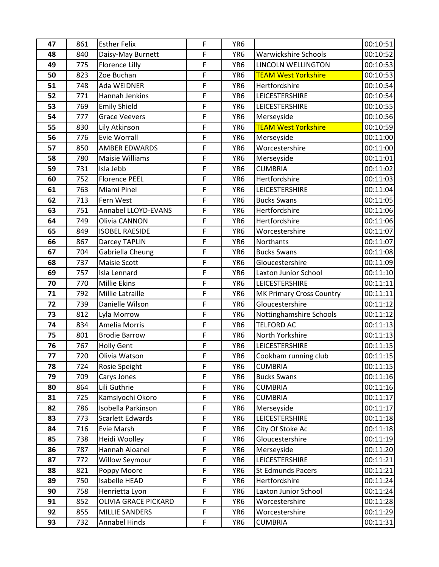| 47       | 861        | <b>Esther Felix</b>                    | F              | YR <sub>6</sub>                    |                                 | 00:10:51             |
|----------|------------|----------------------------------------|----------------|------------------------------------|---------------------------------|----------------------|
| 48       | 840        | Daisy-May Burnett                      | F              | YR <sub>6</sub>                    | <b>Warwickshire Schools</b>     | 00:10:52             |
| 49       | 775        | Florence Lilly                         | F              | YR <sub>6</sub>                    | <b>LINCOLN WELLINGTON</b>       | 00:10:53             |
| 50       | 823        | Zoe Buchan                             | F              | YR <sub>6</sub>                    | <b>TEAM West Yorkshire</b>      | 00:10:53             |
| 51       | 748        | Ada WEIDNER                            | F              | YR <sub>6</sub>                    | Hertfordshire                   | 00:10:54             |
| 52       | 771        | Hannah Jenkins                         | F              | YR <sub>6</sub>                    | LEICESTERSHIRE                  | 00:10:54             |
| 53       | 769        | <b>Emily Shield</b>                    | F              | YR <sub>6</sub>                    | LEICESTERSHIRE                  | 00:10:55             |
| 54       | 777        | <b>Grace Veevers</b>                   | $\overline{F}$ | YR <sub>6</sub>                    | Merseyside                      | 00:10:56             |
| 55       | 830        | Lily Atkinson                          | F              | YR <sub>6</sub>                    | <b>TEAM West Yorkshire</b>      | 00:10:59             |
| 56       | 776        | Evie Worrall                           | F              | YR <sub>6</sub>                    | Merseyside                      | 00:11:00             |
| 57       | 850        | <b>AMBER EDWARDS</b>                   | F              | YR <sub>6</sub>                    | Worcestershire                  | 00:11:00             |
| 58       | 780        | <b>Maisie Williams</b>                 | F              | YR <sub>6</sub>                    | Merseyside                      | 00:11:01             |
| 59       | 731        | Isla Jebb                              | F              | YR <sub>6</sub>                    | <b>CUMBRIA</b>                  | 00:11:02             |
| 60       | 752        | <b>Florence PEEL</b>                   | F              | YR <sub>6</sub>                    | Hertfordshire                   | 00:11:03             |
| 61       | 763        | Miami Pinel                            | F              | YR <sub>6</sub>                    | LEICESTERSHIRE                  | 00:11:04             |
| 62       | 713        | Fern West                              | F              | YR <sub>6</sub>                    | <b>Bucks Swans</b>              | 00:11:05             |
| 63       | 751        | Annabel LLOYD-EVANS                    | F              | YR <sub>6</sub>                    | Hertfordshire                   | 00:11:06             |
| 64       | 749        | Olivia CANNON                          | F              | YR <sub>6</sub>                    | Hertfordshire                   | 00:11:06             |
| 65       | 849        | <b>ISOBEL RAESIDE</b>                  | F              | YR <sub>6</sub>                    | Worcestershire                  | 00:11:07             |
| 66       | 867        | <b>Darcey TAPLIN</b>                   | F              | YR <sub>6</sub>                    | <b>Northants</b>                | 00:11:07             |
| 67       | 704        | Gabriella Cheung                       | F              | YR <sub>6</sub>                    | <b>Bucks Swans</b>              | 00:11:08             |
| 68       | 737        | <b>Maisie Scott</b>                    | F              | YR <sub>6</sub>                    | Gloucestershire                 | 00:11:09             |
| 69       | 757        | Isla Lennard                           | F              | YR <sub>6</sub>                    | Laxton Junior School            | 00:11:10             |
| 70       | 770        | <b>Millie Ekins</b>                    | F              | YR <sub>6</sub>                    | LEICESTERSHIRE                  | 00:11:11             |
| 71       | 792        | Millie Latraille                       | F              | YR <sub>6</sub>                    | <b>MK Primary Cross Country</b> | 00:11:11             |
| 72       | 739        | Danielle Wilson                        | F              | YR <sub>6</sub>                    | Gloucestershire                 | 00:11:12             |
| 73       | 812        | Lyla Morrow                            | F              | YR <sub>6</sub>                    | Nottinghamshire Schools         | 00:11:12             |
| 74       | 834        | Amelia Morris                          | F              | YR <sub>6</sub>                    | <b>TELFORD AC</b>               | 00:11:13             |
| 75       | 801        | <b>Brodie Barrow</b>                   | F              | YR <sub>6</sub>                    | North Yorkshire                 | 00:11:13             |
| 76       | 767        | <b>Holly Gent</b>                      | $\mathsf F$    | YR <sub>6</sub>                    | LEICESTERSHIRE                  | 00:11:15             |
| 77       | 720        | Olivia Watson                          | F              | YR <sub>6</sub>                    | Cookham running club            | 00:11:15             |
| 78       | 724        | Rosie Speight                          | F              | YR <sub>6</sub>                    | <b>CUMBRIA</b>                  | 00:11:15             |
| 79       | 709        | Carys Jones                            | F              | YR <sub>6</sub>                    | <b>Bucks Swans</b>              | 00:11:16             |
| 80       | 864        | Lili Guthrie                           | F              | YR <sub>6</sub>                    | <b>CUMBRIA</b>                  | 00:11:16             |
| 81       | 725        | Kamsiyochi Okoro<br>Isobella Parkinson | F<br>F         | YR <sub>6</sub>                    | <b>CUMBRIA</b>                  | 00:11:17             |
| 82<br>83 | 786<br>773 | Scarlett Edwards                       | F              | YR <sub>6</sub><br>YR <sub>6</sub> | Merseyside<br>LEICESTERSHIRE    | 00:11:17<br>00:11:18 |
| 84       | 716        | Evie Marsh                             | F              | YR <sub>6</sub>                    | City Of Stoke Ac                | 00:11:18             |
| 85       | 738        | Heidi Woolley                          | $\overline{F}$ | YR <sub>6</sub>                    | Gloucestershire                 | 00:11:19             |
| 86       | 787        | Hannah Aioanei                         | F              | YR <sub>6</sub>                    | Merseyside                      | 00:11:20             |
| 87       | 772        | Willow Seymour                         | F              | YR <sub>6</sub>                    | LEICESTERSHIRE                  | 00:11:21             |
| 88       | 821        | Poppy Moore                            | F              | YR <sub>6</sub>                    | <b>St Edmunds Pacers</b>        | 00:11:21             |
| 89       | 750        | Isabelle HEAD                          | F              | YR <sub>6</sub>                    | Hertfordshire                   | 00:11:24             |
| 90       | 758        | Henrietta Lyon                         | F              | YR <sub>6</sub>                    | Laxton Junior School            | 00:11:24             |
| 91       | 852        | OLIVIA GRACE PICKARD                   | F              | YR <sub>6</sub>                    | Worcestershire                  | 00:11:28             |
| 92       | 855        | MILLIE SANDERS                         | $\overline{F}$ | YR <sub>6</sub>                    | Worcestershire                  | 00:11:29             |
| 93       | 732        | Annabel Hinds                          | $\mathsf F$    | YR <sub>6</sub>                    | <b>CUMBRIA</b>                  | 00:11:31             |
|          |            |                                        |                |                                    |                                 |                      |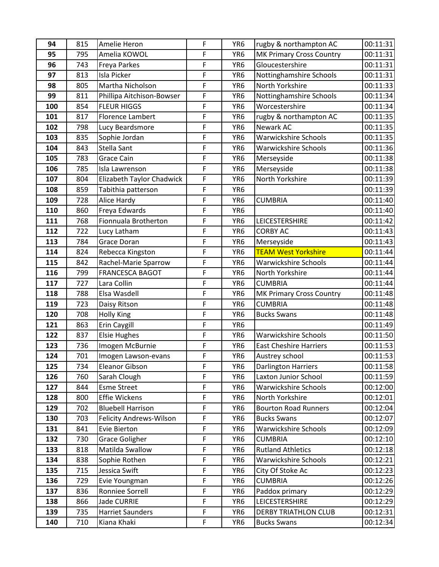| 94         | 815        | Amelie Heron                               | F              | YR <sub>6</sub>                    | rugby & northampton AC                  | 00:11:31             |
|------------|------------|--------------------------------------------|----------------|------------------------------------|-----------------------------------------|----------------------|
| 95         | 795        | Amelia KOWOL                               | F              | YR <sub>6</sub>                    | <b>MK Primary Cross Country</b>         | 00:11:31             |
| 96         | 743        | Freya Parkes                               | F              | YR <sub>6</sub>                    | Gloucestershire                         | 00:11:31             |
| 97         | 813        | <b>Isla Picker</b>                         | F              | YR <sub>6</sub>                    | Nottinghamshire Schools                 | 00:11:31             |
| 98         | 805        | Martha Nicholson                           | F              | YR <sub>6</sub>                    | North Yorkshire                         | 00:11:33             |
| 99         | 811        | Phillipa Aitchison-Bowser                  | F              | YR <sub>6</sub>                    | Nottinghamshire Schools                 | 00:11:34             |
| 100        | 854        | <b>FLEUR HIGGS</b>                         | F              | YR <sub>6</sub>                    | Worcestershire                          | 00:11:34             |
| 101        | 817        | <b>Florence Lambert</b>                    | F              | YR <sub>6</sub>                    | rugby & northampton AC                  | 00:11:35             |
| 102        | 798        | Lucy Beardsmore                            | F              | YR <sub>6</sub>                    | Newark AC                               | 00:11:35             |
| 103        | 835        | Sophie Jordan                              | F              | YR <sub>6</sub>                    | <b>Warwickshire Schools</b>             | 00:11:35             |
| 104        | 843        | Stella Sant                                | F              | YR <sub>6</sub>                    | <b>Warwickshire Schools</b>             | 00:11:36             |
| 105        | 783        | <b>Grace Cain</b>                          | F              | YR <sub>6</sub>                    | Merseyside                              | 00:11:38             |
| 106        | 785        | Isla Lawrenson                             | $\mathsf F$    | YR <sub>6</sub>                    | Merseyside                              | 00:11:38             |
| 107        | 804        | <b>Elizabeth Taylor Chadwick</b>           | F              | YR <sub>6</sub>                    | North Yorkshire                         | 00:11:39             |
| 108        | 859        | Tabithia patterson                         | F              | YR <sub>6</sub>                    |                                         | 00:11:39             |
| 109        | 728        | Alice Hardy                                | F              | YR <sub>6</sub>                    | <b>CUMBRIA</b>                          | 00:11:40             |
| 110        | 860        | Freya Edwards                              | F              | YR <sub>6</sub>                    |                                         | 00:11:40             |
| 111        | 768        | Fionnuala Brotherton                       | $\mathsf F$    | YR <sub>6</sub>                    | LEICESTERSHIRE                          | 00:11:42             |
| 112        | 722        | Lucy Latham                                | F              | YR <sub>6</sub>                    | <b>CORBY AC</b>                         | 00:11:43             |
| 113        | 784        | <b>Grace Doran</b>                         | F              | YR <sub>6</sub>                    | Merseyside                              | 00:11:43             |
| 114        | 824        | Rebecca Kingston                           | F              | YR <sub>6</sub>                    | <b>TEAM West Yorkshire</b>              | 00:11:44             |
| 115        | 842        | Rachel-Marie Sparrow                       | F              | YR <sub>6</sub>                    | <b>Warwickshire Schools</b>             | 00:11:44             |
| 116        | 799        | FRANCESCA BAGOT                            | F              | YR <sub>6</sub>                    | North Yorkshire                         | 00:11:44             |
| 117        | 727        | Lara Collin                                | F              | YR <sub>6</sub>                    | <b>CUMBRIA</b>                          | 00:11:44             |
| 118        | 788        | Elsa Wasdell                               | F              | YR <sub>6</sub>                    | MK Primary Cross Country                | 00:11:48             |
| 119        | 723        | Daisy Ritson                               | F              | YR <sub>6</sub>                    | <b>CUMBRIA</b>                          | 00:11:48             |
| 120        | 708        | <b>Holly King</b>                          | F              | YR <sub>6</sub>                    | <b>Bucks Swans</b>                      | 00:11:48             |
| 121        | 863        | Erin Caygill                               | F              | YR <sub>6</sub>                    |                                         | 00:11:49             |
| 122        | 837        | <b>Elsie Hughes</b>                        | F              | YR <sub>6</sub>                    | Warwickshire Schools                    | 00:11:50             |
| 123        | 736        | Imogen McBurnie                            | F              | YR <sub>6</sub>                    | <b>East Cheshire Harriers</b>           | 00:11:53             |
| 124        | 701        | Imogen Lawson-evans                        | F              | YR <sub>6</sub>                    | Austrey school                          | 00:11:53             |
| 125        | 734        | Eleanor Gibson                             | F<br>F         | YR6                                | <b>Darlington Harriers</b>              | 00:11:58             |
| 126        | 760        | Sarah Clough                               | $\overline{F}$ | YR <sub>6</sub>                    | Laxton Junior School                    | 00:11:59             |
| 127<br>128 | 844<br>800 | <b>Esme Street</b><br><b>Effie Wickens</b> | F              | YR <sub>6</sub><br>YR <sub>6</sub> | Warwickshire Schools<br>North Yorkshire | 00:12:00<br>00:12:01 |
| 129        | 702        | <b>Bluebell Harrison</b>                   | F              | YR6                                | <b>Bourton Road Runners</b>             | 00:12:04             |
| 130        | 703        | Felicity Andrews-Wilson                    | $\mathsf F$    | YR6                                | <b>Bucks Swans</b>                      | 00:12:07             |
| 131        | 841        | Evie Bierton                               | F              | YR6                                | Warwickshire Schools                    | 00:12:09             |
| 132        | 730        | <b>Grace Goligher</b>                      | F              | YR6                                | <b>CUMBRIA</b>                          | 00:12:10             |
| 133        | 818        | Matilda Swallow                            | $\mathsf F$    | YR <sub>6</sub>                    | <b>Rutland Athletics</b>                | 00:12:18             |
| 134        | 838        | Sophie Rothen                              | F              | YR6                                | Warwickshire Schools                    | 00:12:21             |
| 135        | 715        | Jessica Swift                              | $\mathsf F$    | YR <sub>6</sub>                    | City Of Stoke Ac                        | 00:12:23             |
| 136        | 729        | Evie Youngman                              | F              | YR6                                | <b>CUMBRIA</b>                          | 00:12:26             |
| 137        | 836        | Ronniee Sorrell                            | $\mathsf F$    | YR6                                | Paddox primary                          | 00:12:29             |
| 138        | 866        | Jade CURRIE                                | F              | YR <sub>6</sub>                    | LEICESTERSHIRE                          | 00:12:29             |
| 139        | 735        | <b>Harriet Saunders</b>                    | F              | YR <sub>6</sub>                    | DERBY TRIATHLON CLUB                    | 00:12:31             |
| 140        | 710        | Kiana Khaki                                | $\mathsf F$    | YR <sub>6</sub>                    | <b>Bucks Swans</b>                      | 00:12:34             |